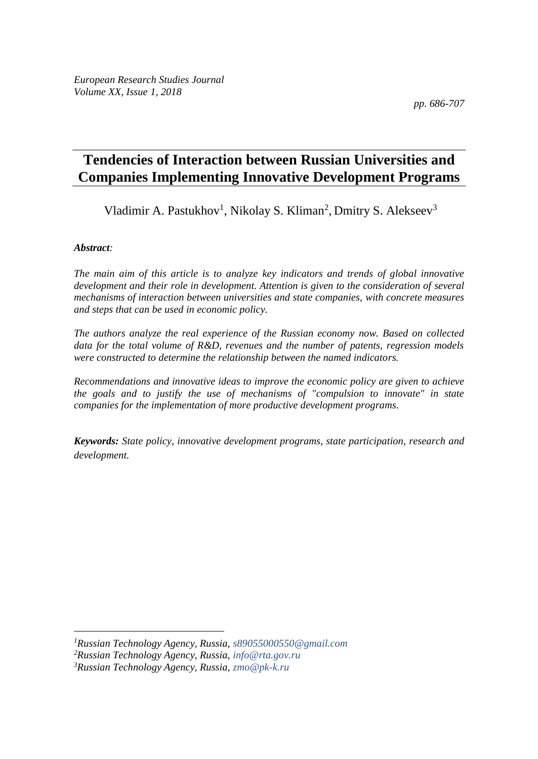*pp. 686-707*

# **Tendencies of Interaction between Russian Universities and Companies Implementing Innovative Development Programs**

Vladimir A. Pastukhov<sup>1</sup>, Nikolay S. Kliman<sup>2</sup>, Dmitry S. Alekseev<sup>3</sup>

## *Abstract:*

 $\overline{a}$ 

*The main aim of this article is to analyze key indicators and trends of global innovative development and their role in development. Attention is given to the consideration of several mechanisms of interaction between universities and state companies, with concrete measures and steps that can be used in economic policy.* 

*The authors analyze the real experience of the Russian economy now. Based on collected data for the total volume of R&D, revenues and the number of patents, regression models were constructed to determine the relationship between the named indicators.* 

*Recommendations and innovative ideas to improve the economic policy are given to achieve the goals and to justify the use of mechanisms of "compulsion to innovate" in state companies for the implementation of more productive development programs.*

*Keywords: State policy, innovative development programs, state participation, research and development.*

*<sup>1</sup>Russian Technology Agency, Russia, [s89055000550@gmail.com](mailto:s89055000550@gmail.com)*

*<sup>2</sup>Russian Technology Agency, Russia, [info@rta.gov.ru](mailto:info@rta.gov.ru)*

*<sup>3</sup>Russian Technology Agency, Russia, [zmo@pk-k.ru](mailto:zmo@pk-k.ru)*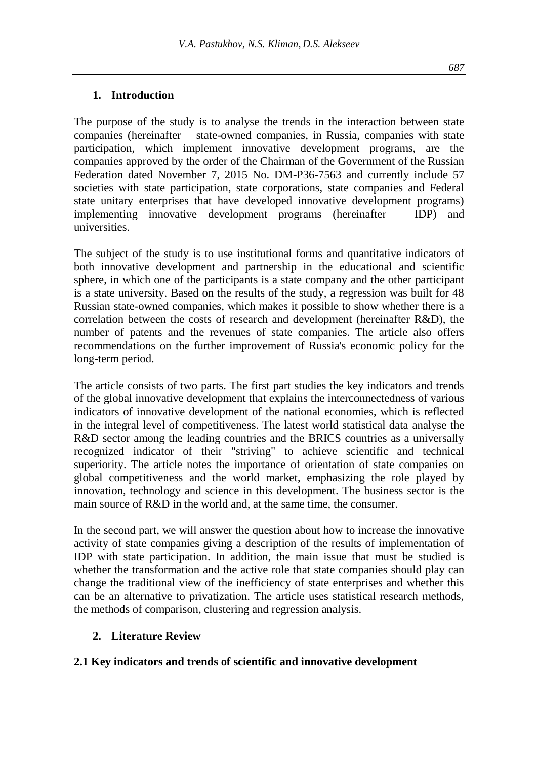#### **1. Introduction**

The purpose of the study is to analyse the trends in the interaction between state companies (hereinafter – state-owned companies, in Russia, companies with state participation, which implement innovative development programs, are the companies approved by the order of the Chairman of the Government of the Russian Federation dated November 7, 2015 No. DM-P36-7563 and currently include 57 societies with state participation, state corporations, state companies and Federal state unitary enterprises that have developed innovative development programs) implementing innovative development programs (hereinafter – IDP) and universities.

The subject of the study is to use institutional forms and quantitative indicators of both innovative development and partnership in the educational and scientific sphere, in which one of the participants is a state company and the other participant is a state university. Based on the results of the study, a regression was built for 48 Russian state-owned companies, which makes it possible to show whether there is a correlation between the costs of research and development (hereinafter R&D), the number of patents and the revenues of state companies. The article also offers recommendations on the further improvement of Russia's economic policy for the long-term period.

The article consists of two parts. The first part studies the key indicators and trends of the global innovative development that explains the interconnectedness of various indicators of innovative development of the national economies, which is reflected in the integral level of competitiveness. The latest world statistical data analyse the R&D sector among the leading countries and the BRICS countries as a universally recognized indicator of their "striving" to achieve scientific and technical superiority. The article notes the importance of orientation of state companies on global competitiveness and the world market, emphasizing the role played by innovation, technology and science in this development. The business sector is the main source of R&D in the world and, at the same time, the consumer.

In the second part, we will answer the question about how to increase the innovative activity of state companies giving a description of the results of implementation of IDP with state participation. In addition, the main issue that must be studied is whether the transformation and the active role that state companies should play can change the traditional view of the inefficiency of state enterprises and whether this can be an alternative to privatization. The article uses statistical research methods, the methods of comparison, clustering and regression analysis.

## **2. Literature Review**

#### **2.1 Key indicators and trends of scientific and innovative development**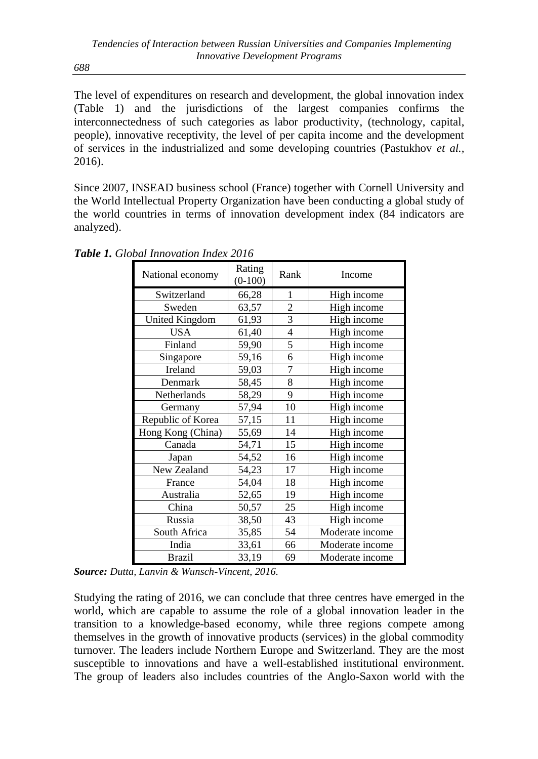The level of expenditures on research and development, the global innovation index (Table 1) and the jurisdictions of the largest companies confirms the interconnectedness of such categories as labor productivity, (technology, capital, people), innovative receptivity, the level of per capita income and the development of services in the industrialized and some developing countries (Pastukhov *et al.,* 2016).

Since 2007, INSEAD business school (France) together with Cornell University and the World Intellectual Property Organization have been conducting a global study of the world countries in terms of innovation development index (84 indicators are analyzed).

| National economy  | Rating<br>$(0-100)$ | Rank           | Income          |
|-------------------|---------------------|----------------|-----------------|
| Switzerland       | 66,28               | 1              | High income     |
| Sweden            | 63,57               | $\overline{c}$ | High income     |
| United Kingdom    | 61,93               | $\overline{3}$ | High income     |
| <b>USA</b>        | 61,40               | $\overline{4}$ | High income     |
| Finland           | 59,90               | 5              | High income     |
| Singapore         | 59,16               | 6              | High income     |
| Ireland           | 59,03               | 7              | High income     |
| Denmark           | 58,45               | 8              | High income     |
| Netherlands       | 58,29               | 9              | High income     |
| Germany           | 57,94               | 10             | High income     |
| Republic of Korea | 57,15               | 11             | High income     |
| Hong Kong (China) | 55,69               | 14             | High income     |
| Canada            | 54,71               | 15             | High income     |
| Japan             | 54,52               | 16             | High income     |
| New Zealand       | 54,23               | 17             | High income     |
| France            | 54,04               | 18             | High income     |
| Australia         | 52,65               | 19             | High income     |
| China             | 50,57               | 25             | High income     |
| Russia            | 38,50               | 43             | High income     |
| South Africa      | 35,85               | 54             | Moderate income |
| India             | 33,61               | 66             | Moderate income |
| Brazil            | 33,19               | 69             | Moderate income |

*Table 1. Global Innovation Index 2016*

Studying the rating of 2016, we can conclude that three centres have emerged in the world, which are capable to assume the role of a global innovation leader in the transition to a knowledge-based economy, while three regions compete among themselves in the growth of innovative products (services) in the global commodity turnover. The leaders include Northern Europe and Switzerland. They are the most susceptible to innovations and have a well-established institutional environment. The group of leaders also includes countries of the Anglo-Saxon world with the

*688*

*Source: Dutta, Lanvin & Wunsch-Vincent, 2016.*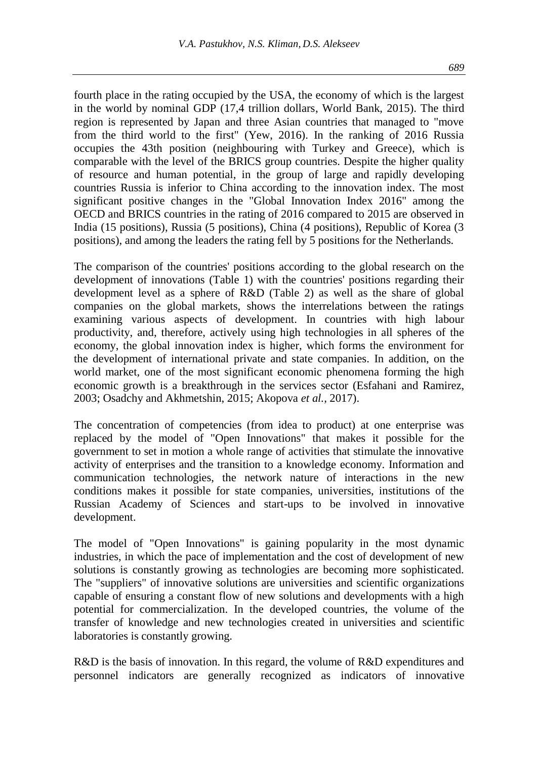fourth place in the rating occupied by the USA, the economy of which is the largest in the world by nominal GDP (17,4 trillion dollars, World Bank, 2015). The third region is represented by Japan and three Asian countries that managed to "move from the third world to the first" (Yew, 2016). In the ranking of 2016 Russia occupies the 43th position (neighbouring with Turkey and Greece), which is comparable with the level of the BRICS group countries. Despite the higher quality of resource and human potential, in the group of large and rapidly developing countries Russia is inferior to China according to the innovation index. The most significant positive changes in the "Global Innovation Index 2016" among the OECD and BRICS countries in the rating of 2016 compared to 2015 are observed in India (15 positions), Russia (5 positions), China (4 positions), Republic of Korea (3 positions), and among the leaders the rating fell by 5 positions for the Netherlands.

The comparison of the countries' positions according to the global research on the development of innovations (Table 1) with the countries' positions regarding their development level as a sphere of R&D (Table 2) as well as the share of global companies on the global markets, shows the interrelations between the ratings examining various aspects of development. In countries with high labour productivity, and, therefore, actively using high technologies in all spheres of the economy, the global innovation index is higher, which forms the environment for the development of international private and state companies. In addition, on the world market, one of the most significant economic phenomena forming the high economic growth is a breakthrough in the services sector (Esfahani and Ramirez, 2003; Osadchy and Akhmetshin, 2015; Akopova *et al.,* 2017).

The concentration of competencies (from idea to product) at one enterprise was replaced by the model of "Open Innovations" that makes it possible for the government to set in motion a whole range of activities that stimulate the innovative activity of enterprises and the transition to a knowledge economy. Information and communication technologies, the network nature of interactions in the new conditions makes it possible for state companies, universities, institutions of the Russian Academy of Sciences and start-ups to be involved in innovative development.

The model of "Open Innovations" is gaining popularity in the most dynamic industries, in which the pace of implementation and the cost of development of new solutions is constantly growing as technologies are becoming more sophisticated. The "suppliers" of innovative solutions are universities and scientific organizations capable of ensuring a constant flow of new solutions and developments with a high potential for commercialization. In the developed countries, the volume of the transfer of knowledge and new technologies created in universities and scientific laboratories is constantly growing.

R&D is the basis of innovation. In this regard, the volume of R&D expenditures and personnel indicators are generally recognized as indicators of innovative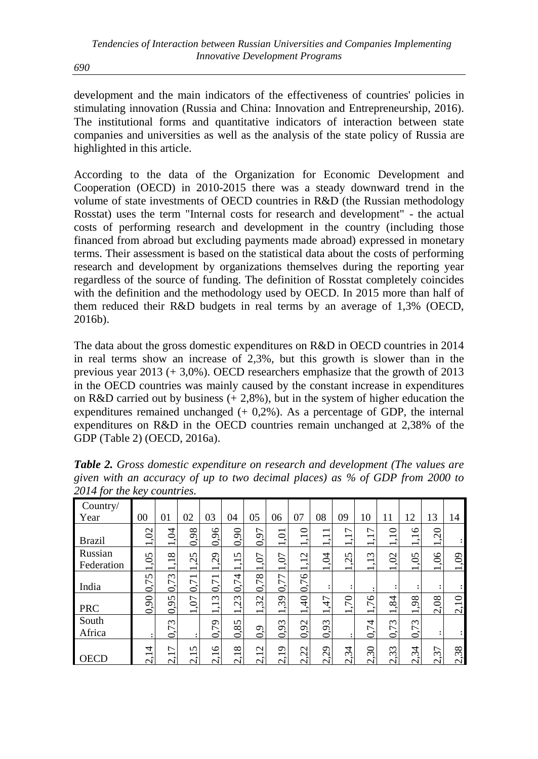development and the main indicators of the effectiveness of countries' policies in stimulating innovation (Russia and China: Innovation and Entrepreneurship, 2016). The institutional forms and quantitative indicators of interaction between state companies and universities as well as the analysis of the state policy of Russia are highlighted in this article.

According to the data of the Organization for Economic Development and Cooperation (OECD) in 2010-2015 there was a steady downward trend in the volume of state investments of OECD countries in R&D (the Russian methodology Rosstat) uses the term "Internal costs for research and development" - the actual costs of performing research and development in the country (including those financed from abroad but excluding payments made abroad) expressed in monetary terms. Their assessment is based on the statistical data about the costs of performing research and development by organizations themselves during the reporting year regardless of the source of funding. The definition of Rosstat completely coincides with the definition and the methodology used by OECD. In 2015 more than half of them reduced their R&D budgets in real terms by an average of 1,3% (OECD, 2016b).

The data about the gross domestic expenditures on R&D in OECD countries in 2014 in real terms show an increase of 2,3%, but this growth is slower than in the previous year 2013 (+ 3,0%). OECD researchers emphasize that the growth of 2013 in the OECD countries was mainly caused by the constant increase in expenditures on R&D carried out by business  $(+ 2.8\%)$ , but in the system of higher education the expenditures remained unchanged  $(+ 0.2\%)$ . As a percentage of GDP, the internal expenditures on R&D in the OECD countries remain unchanged at 2,38% of the GDP (Table 2) (OECD, 2016a).

| J                     |                                                               |                                                                  |                                                        |                                                                  |                                                           |                                                           |                                                |                                                                                        |                                                                                               |                                                                                     |                                                                  |                                                           |                                  |                                                |                                                 |
|-----------------------|---------------------------------------------------------------|------------------------------------------------------------------|--------------------------------------------------------|------------------------------------------------------------------|-----------------------------------------------------------|-----------------------------------------------------------|------------------------------------------------|----------------------------------------------------------------------------------------|-----------------------------------------------------------------------------------------------|-------------------------------------------------------------------------------------|------------------------------------------------------------------|-----------------------------------------------------------|----------------------------------|------------------------------------------------|-------------------------------------------------|
| Country/<br>Year      | 00                                                            | 01                                                               | 02                                                     | 03                                                               | 04                                                        | 05                                                        | 06                                             | 07                                                                                     | 08                                                                                            | 09                                                                                  | 10                                                               | 11                                                        | 12                               | 13                                             | 14                                              |
| <b>Brazil</b>         | $\widetilde{C}$<br>$\overline{\phantom{0}}$                   | $\dot{q}$<br>$\overline{\phantom{0}}$                            | $\infty$<br>$\mathcal{Q}$<br>⊂                         | 96<br>0                                                          | 66                                                        | ┌<br>$\dot{\mathcal{Q}}$<br>⊂                             | $\overline{0}$<br>$\overline{\phantom{0}}$     | 0<br>$\overline{\phantom{0}}$<br>$\cdot$<br>$\overline{\phantom{0}}$                   | $\overline{\phantom{0}}$<br>$\overline{\phantom{0}}$<br>$\bullet$<br>$\overline{\phantom{0}}$ | $\overline{ }$<br>$\overline{\phantom{0}}$<br>$\bullet$<br>$\overline{\phantom{0}}$ | 7<br>$\overline{\phantom{0}}$<br>$\overline{\phantom{0}}$        | ⊂<br>$\overline{\phantom{0}}$<br>$\overline{\phantom{0}}$ | $\circ$<br>-                     | ⊂<br>$\bar{\circ}$<br>$\overline{\phantom{0}}$ |                                                 |
| Russian<br>Federation | 50,<br>$\overline{\phantom{0}}$                               | $\infty$<br>$\overline{\phantom{0}}$<br>$\overline{\phantom{0}}$ | 5<br>Ò<br>$\overline{\phantom{0}}$                     | $\mathcal{L}^{\mathcal{O}}$<br>$\overline{\phantom{0}}$          | 5<br>$\overline{\phantom{0}}$<br>$\overline{\phantom{0}}$ | 70<br>$\overline{\phantom{0}}$                            | $\Omega$<br>$\overline{\phantom{0}}$           | $\mathbf{\Omega}$<br>$\overline{\phantom{0}}$<br>$\bullet$<br>$\overline{\phantom{0}}$ | Z<br>$\overline{\phantom{0}}$                                                                 | 5<br>$\mathbf{\sim}$<br>$\sim$<br>$\overline{\phantom{0}}$                          | $\omega$<br>$\overline{\phantom{0}}$<br>$\overline{\phantom{0}}$ | $\mathcal{S}$<br>$\overline{\phantom{0}}$                 | $\mathcal{S}$<br>-               | 8<br>$\overline{\phantom{0}}$                  | $\ddot{\theta}$<br>$\overline{\phantom{0}}$     |
| India                 | 5<br>L.<br>$\circ$                                            | 73<br>Ö                                                          | $\overline{\phantom{0}}$<br>$\overline{ }$<br>Ö        | $\overline{\phantom{0}}$<br>$\overline{ }$<br>$\dot{\mathbf{o}}$ | 4<br>ド<br>S                                               | $\infty$<br>Ë<br>$\sigma$                                 | 77<br>$\dot{\circ}$                            | 76<br>Õ                                                                                |                                                                                               | ٠<br>$\bullet$                                                                      |                                                                  |                                                           |                                  |                                                |                                                 |
| <b>PRC</b>            | 0,90                                                          | 5<br>G<br>$\tilde{\mathbf{o}}$                                   | $\Omega$<br>$\overline{\phantom{0}}$                   | $\omega$<br>$\overline{\phantom{0}}$<br>-                        | $\epsilon$<br>$\sim$<br>-                                 | $\mathbf{\Omega}$<br>$\infty$<br>$\overline{\phantom{0}}$ | $\sigma$<br>$\sim$<br>$\overline{\phantom{0}}$ | 40<br>$\overline{\phantom{0}}$                                                         | 47<br>$\bullet$<br>$\overline{\phantom{0}}$                                                   | $\approx$<br>$\bullet$<br>$\overline{\phantom{0}}$                                  | $\circ$<br>L<br>$\overline{\phantom{0}}$                         | 4<br>∞<br>$\overline{\phantom{0}}$                        | $\infty$<br>Ō<br>-               | 2,08                                           | 0<br>$\overline{\phantom{0}}$<br>$\overline{c}$ |
| South<br>Africa       |                                                               | $\omega$<br>L<br>Ö                                               |                                                        | 29<br>$\sigma$                                                   | 85<br>Ò,                                                  | Ō<br>$\dot{\mathbf{o}}$                                   | 93<br>$\tilde{c}$                              | 56<br>$\tilde{\mathbf{c}}$                                                             | 93<br>$\dot{\circ}$                                                                           | ٠                                                                                   | 74<br>$\sigma$                                                   | 73<br>⊂                                                   | $\omega$<br>Ë<br>$\mathbf{c}$    |                                                |                                                 |
| OECD                  | 4<br>$\overline{\phantom{0}}$<br>$\bullet$<br>$\mathbf{\sim}$ | ↽<br>−<br>$\sim$                                                 | $\sqrt{2}$<br>$\overline{\phantom{0}}$<br>$\mathsf{C}$ | $\circ$<br>−<br>$\sim$                                           | ${}^{\circ}$<br>$\overline{\phantom{0}}$<br>$\sim$        | $\sim$<br>$\overline{\phantom{0}}$<br>$\sim$              | െ<br>$\overline{\phantom{0}}$<br>$\sim$        | $\mathbf{\Omega}$<br>$\mathcal{L}$<br>$\sim$                                           | $\sigma$<br>$\overline{\mathcal{C}}$<br>$\sim$                                                | 4<br>ઌ<br>$\mathbf{\sim}$                                                           | ⊂<br>$\sim$<br>$\sim$                                            | $\sim$<br>$\omega$<br>$\sim$                              | 4<br>$\infty$<br>$\mathbf{\sim}$ | ┌<br>$\sim$<br>$\sim$                          | ${}^{\infty}$<br>$\omega$<br>$\sim$             |

*Table 2. Gross domestic expenditure on research and development (The values are given with an accuracy of up to two decimal places) as % of GDP from 2000 to 2014 for the key countries.*

*690*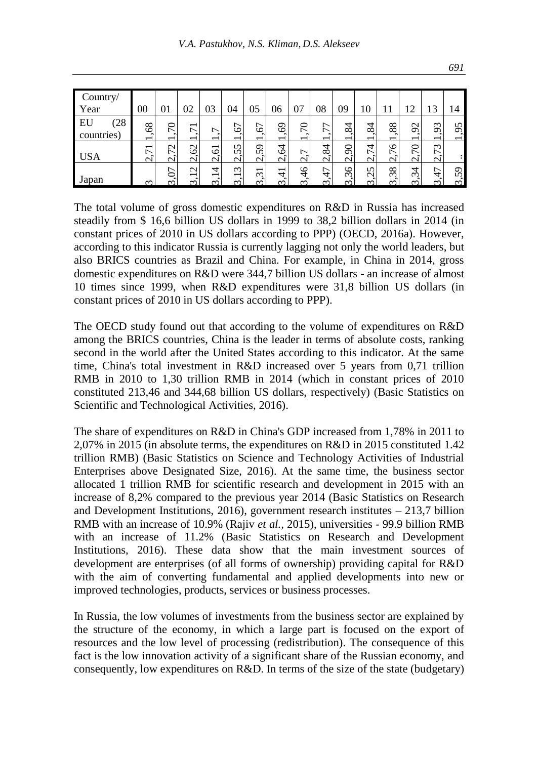| /cuntry/<br>Year      | 00                                                   | 01                            | 02                                               | 03                                                         | 04                                                     | 05                                                        | 06                                                | 0 <sup>7</sup>                              | 08                                           | 09                             | 10                             | 11                               | 2                                   | 13                            | 14                              |
|-----------------------|------------------------------------------------------|-------------------------------|--------------------------------------------------|------------------------------------------------------------|--------------------------------------------------------|-----------------------------------------------------------|---------------------------------------------------|---------------------------------------------|----------------------------------------------|--------------------------------|--------------------------------|----------------------------------|-------------------------------------|-------------------------------|---------------------------------|
| EU<br>28<br>countries | 68<br>$\overline{\phantom{0}}$                       | 5<br>$\overline{\phantom{0}}$ | $\overline{\phantom{0}}$<br>∼<br>–               | −                                                          | 67<br>$\blacksquare$<br>$\overline{\phantom{0}}$       | 67<br>$\overline{\phantom{0}}$                            | 3<br>$\sim$<br>$\overline{\phantom{0}}$           | 70<br>$\bullet$<br>$\overline{\phantom{0}}$ | ↽<br>L<br>$\sim$<br>$\overline{\phantom{0}}$ | 84<br>$\overline{\phantom{0}}$ | 84<br>$\overline{\phantom{0}}$ | 88<br>$\overline{\phantom{0}}$   | $\mathbf 1$<br>ᡋ<br>–               | $\epsilon$<br>$\sigma$<br>-   | 5<br>$\sigma$<br>$\sim$         |
| <b>USA</b>            | $\overline{\phantom{0}}$<br>$\overline{ }$<br>$\sim$ | $\mathbf{\sim}$<br>∼          | $\mathbf{\Omega}$<br>$\circ$<br>$\sim$           | $\overline{\phantom{0}}$<br>$\circ$<br>$\sim$              | $\mathbf{v}$<br>$\mathsf{S}$<br>$\sim$                 | Ō<br>$\overline{v}$<br>$\sim$                             | 4<br>Ó<br>$\sim$                                  | ∼<br>$\bullet$<br>$\sim$                    | 84<br>$\sim$                                 | $\overline{6}$<br>$\sim$       | 4<br>ド<br>$\sim$               | $\circ$<br>L<br>$\sim$           | ⊂<br>L                              | $\mathfrak{m}$<br>∼<br>$\sim$ |                                 |
| Japan                 | $\infty$                                             | r                             | $\mathbf{\sim}$<br>$\overline{\phantom{0}}$<br>r | 4<br>$\overline{\phantom{0}}$<br>$\widetilde{\phantom{a}}$ | $\mathfrak{m}$<br>$\overline{\phantom{0}}$<br>$\infty$ | $\overline{\phantom{0}}$<br>$\sim$<br>$\bullet$<br>$\sim$ | $\overline{\phantom{0}}$<br>4<br>$\sim$<br>$\sim$ | $\frac{4}{6}$<br>$\bullet$<br>$\infty$      | 47<br>$\infty$                               | 36<br>$\cdot$<br>$\infty$      | $\sqrt{ }$<br>Ñ<br>r           | $\infty$<br>$\infty$<br>$\infty$ | 4<br>ب<br>$\widetilde{\phantom{a}}$ | 47<br>$\infty$                | ᡡ<br>m<br>$\bullet$<br>$\omega$ |

The total volume of gross domestic expenditures on R&D in Russia has increased steadily from \$ 16,6 billion US dollars in 1999 to 38,2 billion dollars in 2014 (in constant prices of 2010 in US dollars according to PPP) (OECD, 2016a). However, according to this indicator Russia is currently lagging not only the world leaders, but also BRICS countries as Brazil and China. For example, in China in 2014, gross domestic expenditures on R&D were 344,7 billion US dollars - an increase of almost 10 times since 1999, when R&D expenditures were 31,8 billion US dollars (in constant prices of 2010 in US dollars according to PPP).

The OECD study found out that according to the volume of expenditures on R&D among the BRICS countries, China is the leader in terms of absolute costs, ranking second in the world after the United States according to this indicator. At the same time, China's total investment in R&D increased over 5 years from 0,71 trillion RMB in 2010 to 1,30 trillion RMB in 2014 (which in constant prices of 2010 constituted 213,46 and 344,68 billion US dollars, respectively) (Basic Statistics on Scientific and Technological Activities, 2016).

The share of expenditures on R&D in China's GDP increased from 1,78% in 2011 to 2,07% in 2015 (in absolute terms, the expenditures on R&D in 2015 constituted 1.42 trillion RMB) (Basic Statistics on Science and Technology Activities of Industrial Enterprises above Designated Size, 2016). At the same time, the business sector allocated 1 trillion RMB for scientific research and development in 2015 with an increase of 8,2% compared to the previous year 2014 (Basic Statistics on Research and Development Institutions,  $2016$ ), government research institutes  $-213,7$  billion RMB with an increase of 10.9% (Rajiv *et al.,* 2015), universities - 99.9 billion RMB with an increase of 11.2% (Basic Statistics on Research and Development Institutions, 2016). These data show that the main investment sources of development are enterprises (of all forms of ownership) providing capital for R&D with the aim of converting fundamental and applied developments into new or improved technologies, products, services or business processes.

In Russia, the low volumes of investments from the business sector are explained by the structure of the economy, in which a large part is focused on the export of resources and the low level of processing (redistribution). The consequence of this fact is the low innovation activity of a significant share of the Russian economy, and consequently, low expenditures on R&D. In terms of the size of the state (budgetary)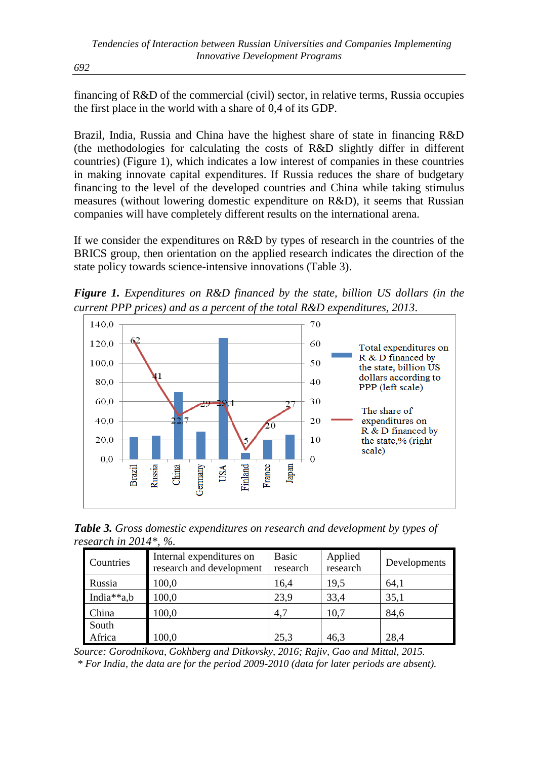financing of R&D of the commercial (civil) sector, in relative terms, Russia occupies the first place in the world with a share of 0,4 of its GDP.

Brazil, India, Russia and China have the highest share of state in financing R&D (the methodologies for calculating the costs of R&D slightly differ in different countries) (Figure 1), which indicates a low interest of companies in these countries in making innovate capital expenditures. If Russia reduces the share of budgetary financing to the level of the developed countries and China while taking stimulus measures (without lowering domestic expenditure on R&D), it seems that Russian companies will have completely different results on the international arena.

If we consider the expenditures on R&D by types of research in the countries of the BRICS group, then orientation on the applied research indicates the direction of the state policy towards science-intensive innovations (Table 3).

*Figure 1. Expenditures on R&D financed by the state, billion US dollars (in the current PPP prices) and as a percent of the total R&D expenditures, 2013.*



*Table 3. Gross domestic expenditures on research and development by types of research in 2014\*, %*.

| Countries  | Internal expenditures on<br>research and development | <b>Basic</b><br>research | Applied<br>research | Developments |
|------------|------------------------------------------------------|--------------------------|---------------------|--------------|
| Russia     | 100,0                                                | 16.4                     | 19.5                | 64.1         |
| India**a,b | 100,0                                                | 23.9                     | 33,4                | 35,1         |
| China      | 100,0                                                | 4,7                      | 10,7                | 84.6         |
| South      |                                                      |                          |                     |              |
| Africa     | 100,0                                                | 25.3                     | 46.3                | 28,4         |

*Source: Gorodnikova, Gokhberg and Ditkovsky, 2016; Rajiv, Gao and Mittal, 2015. \* For India, the data are for the period 2009-2010 (data for later periods are absent).*

*692*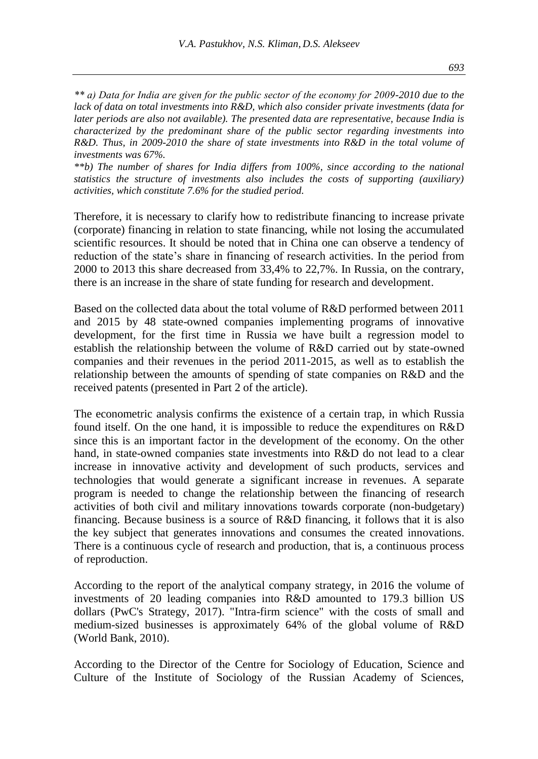*\*\* а) Data for India are given for the public sector of the economy for 2009-2010 due to the lack of data on total investments into R&D, which also consider private investments (data for later periods are also not available). The presented data are representative, because India is characterized by the predominant share of the public sector regarding investments into R&D. Thus, in 2009-2010 the share of state investments into R&D in the total volume of investments was 67%.*

*\*\*b) The number of shares for India differs from 100%, since according to the national statistics the structure of investments also includes the costs of supporting (auxiliary) activities, which constitute 7.6% for the studied period.*

Therefore, it is necessary to clarify how to redistribute financing to increase private (corporate) financing in relation to state financing, while not losing the accumulated scientific resources. It should be noted that in China one can observe a tendency of reduction of the state's share in financing of research activities. In the period from 2000 to 2013 this share decreased from 33,4% to 22,7%. In Russia, on the contrary, there is an increase in the share of state funding for research and development.

Based on the collected data about the total volume of R&D performed between 2011 and 2015 by 48 state-owned companies implementing programs of innovative development, for the first time in Russia we have built a regression model to establish the relationship between the volume of R&D carried out by state-owned companies and their revenues in the period 2011-2015, as well as to establish the relationship between the amounts of spending of state companies on R&D and the received patents (presented in Part 2 of the article).

The econometric analysis confirms the existence of a certain trap, in which Russia found itself. On the one hand, it is impossible to reduce the expenditures on R&D since this is an important factor in the development of the economy. On the other hand, in state-owned companies state investments into R&D do not lead to a clear increase in innovative activity and development of such products, services and technologies that would generate a significant increase in revenues. A separate program is needed to change the relationship between the financing of research activities of both civil and military innovations towards corporate (non-budgetary) financing. Because business is a source of R&D financing, it follows that it is also the key subject that generates innovations and consumes the created innovations. There is a continuous cycle of research and production, that is, a continuous process of reproduction.

According to the report of the analytical company strategy, in 2016 the volume of investments of 20 leading companies into R&D amounted to 179.3 billion US dollars (PwC's Strategy, 2017). "Intra-firm science" with the costs of small and medium-sized businesses is approximately 64% of the global volume of R&D (World Bank, 2010).

According to the Director of the Centre for Sociology of Education, Science and Culture of the Institute of Sociology of the Russian Academy of Sciences,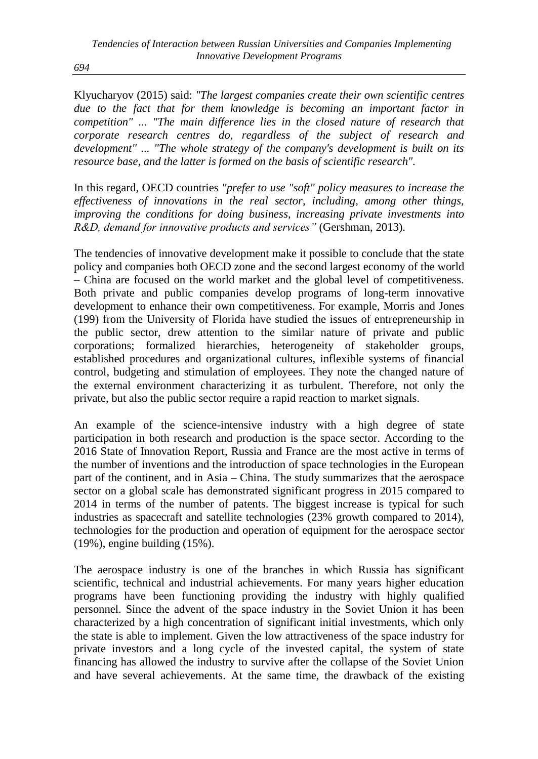*694*

Klyucharyov (2015) said: *"The largest companies create their own scientific centres due to the fact that for them knowledge is becoming an important factor in competition" ... "The main difference lies in the closed nature of research that corporate research centres do, regardless of the subject of research and development" ... "The whole strategy of the company's development is built on its resource base, and the latter is formed on the basis of scientific research".*

In this regard, OECD countries *"prefer to use "soft" policy measures to increase the effectiveness of innovations in the real sector, including, among other things, improving the conditions for doing business, increasing private investments into R&D, demand for innovative products and services"* (Gershman, 2013).

The tendencies of innovative development make it possible to conclude that the state policy and companies both OECD zone and the second largest economy of the world – China are focused on the world market and the global level of competitiveness. Both private and public companies develop programs of long-term innovative development to enhance their own competitiveness. For example, Morris and Jones (199) from the University of Florida have studied the issues of entrepreneurship in the public sector, drew attention to the similar nature of private and public corporations; formalized hierarchies, heterogeneity of stakeholder groups, established procedures and organizational cultures, inflexible systems of financial control, budgeting and stimulation of employees. They note the changed nature of the external environment characterizing it as turbulent. Therefore, not only the private, but also the public sector require a rapid reaction to market signals.

An example of the science-intensive industry with a high degree of state participation in both research and production is the space sector. According to the 2016 State of Innovation Report, Russia and France are the most active in terms of the number of inventions and the introduction of space technologies in the European part of the continent, and in Asia – China. The study summarizes that the aerospace sector on a global scale has demonstrated significant progress in 2015 compared to 2014 in terms of the number of patents. The biggest increase is typical for such industries as spacecraft and satellite technologies (23% growth compared to 2014), technologies for the production and operation of equipment for the aerospace sector (19%), engine building (15%).

The aerospace industry is one of the branches in which Russia has significant scientific, technical and industrial achievements. For many years higher education programs have been functioning providing the industry with highly qualified personnel. Since the advent of the space industry in the Soviet Union it has been characterized by a high concentration of significant initial investments, which only the state is able to implement. Given the low attractiveness of the space industry for private investors and a long cycle of the invested capital, the system of state financing has allowed the industry to survive after the collapse of the Soviet Union and have several achievements. At the same time, the drawback of the existing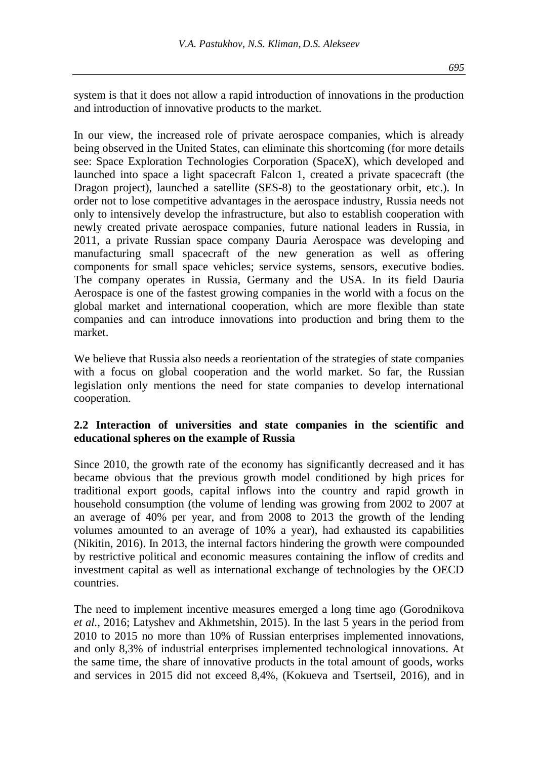system is that it does not allow a rapid introduction of innovations in the production and introduction of innovative products to the market.

In our view, the increased role of private aerospace companies, which is already being observed in the United States, can eliminate this shortcoming (for more details see: Space Exploration Technologies Corporation (SpaceX), which developed and launched into space a light spacecraft Falcon 1, created a private spacecraft (the Dragon project), launched a satellite (SES-8) to the geostationary orbit, etc.). In order not to lose competitive advantages in the aerospace industry, Russia needs not only to intensively develop the infrastructure, but also to establish cooperation with newly created private aerospace companies, future national leaders in Russia, in 2011, a private Russian space company Dauria Aerospace was developing and manufacturing small spacecraft of the new generation as well as offering components for small space vehicles; service systems, sensors, executive bodies. The company operates in Russia, Germany and the USA. In its field Dauria Aerospace is one of the fastest growing companies in the world with a focus on the global market and international cooperation, which are more flexible than state companies and can introduce innovations into production and bring them to the market.

We believe that Russia also needs a reorientation of the strategies of state companies with a focus on global cooperation and the world market. So far, the Russian legislation only mentions the need for state companies to develop international cooperation.

## **2.2 Interaction of universities and state companies in the scientific and educational spheres on the example of Russia**

Since 2010, the growth rate of the economy has significantly decreased and it has became obvious that the previous growth model conditioned by high prices for traditional export goods, capital inflows into the country and rapid growth in household consumption (the volume of lending was growing from 2002 to 2007 at an average of 40% per year, and from 2008 to 2013 the growth of the lending volumes amounted to an average of 10% a year), had exhausted its capabilities (Nikitin, 2016). In 2013, the internal factors hindering the growth were compounded by restrictive political and economic measures containing the inflow of credits and investment capital as well as international exchange of technologies by the OECD countries.

The need to implement incentive measures emerged a long time ago (Gorodnikova *et al.,* 2016; Latyshev and Akhmetshin, 2015). In the last 5 years in the period from 2010 to 2015 no more than 10% of Russian enterprises implemented innovations, and only 8,3% of industrial enterprises implemented technological innovations. At the same time, the share of innovative products in the total amount of goods, works and services in 2015 did not exceed 8,4%, (Kokueva and Tsertseil, 2016), and in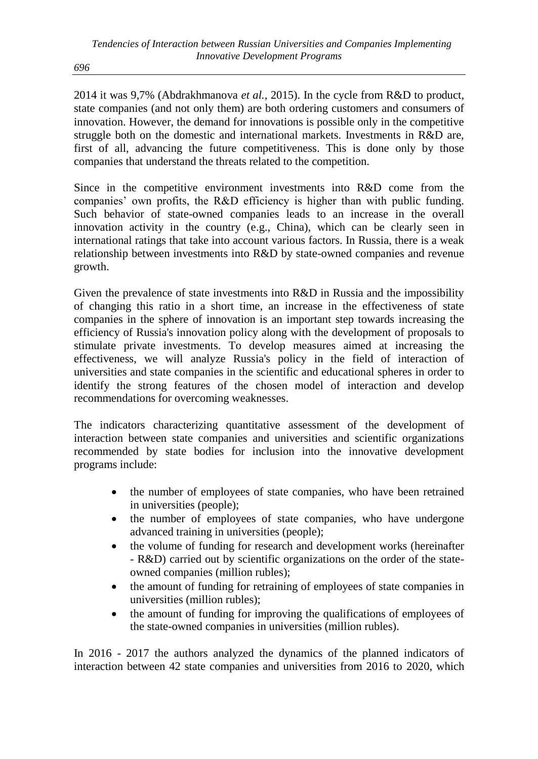*696*

2014 it was 9,7% (Abdrakhmanova *et al.,* 2015). In the cycle from R&D to product, state companies (and not only them) are both ordering customers and consumers of innovation. However, the demand for innovations is possible only in the competitive struggle both on the domestic and international markets. Investments in R&D are, first of all, advancing the future competitiveness. This is done only by those companies that understand the threats related to the competition.

Since in the competitive environment investments into R&D come from the companies' own profits, the R&D efficiency is higher than with public funding. Such behavior of state-owned companies leads to an increase in the overall innovation activity in the country (e.g., China), which can be clearly seen in international ratings that take into account various factors. In Russia, there is a weak relationship between investments into R&D by state-owned companies and revenue growth.

Given the prevalence of state investments into R&D in Russia and the impossibility of changing this ratio in a short time, an increase in the effectiveness of state companies in the sphere of innovation is an important step towards increasing the efficiency of Russia's innovation policy along with the development of proposals to stimulate private investments. To develop measures aimed at increasing the effectiveness, we will analyze Russia's policy in the field of interaction of universities and state companies in the scientific and educational spheres in order to identify the strong features of the chosen model of interaction and develop recommendations for overcoming weaknesses.

The indicators characterizing quantitative assessment of the development of interaction between state companies and universities and scientific organizations recommended by state bodies for inclusion into the innovative development programs include:

- the number of employees of state companies, who have been retrained in universities (people);
- the number of employees of state companies, who have undergone advanced training in universities (people);
- the volume of funding for research and development works (hereinafter - R&D) carried out by scientific organizations on the order of the stateowned companies (million rubles);
- the amount of funding for retraining of employees of state companies in universities (million rubles);
- the amount of funding for improving the qualifications of employees of the state-owned companies in universities (million rubles).

In 2016 - 2017 the authors analyzed the dynamics of the planned indicators of interaction between 42 state companies and universities from 2016 to 2020, which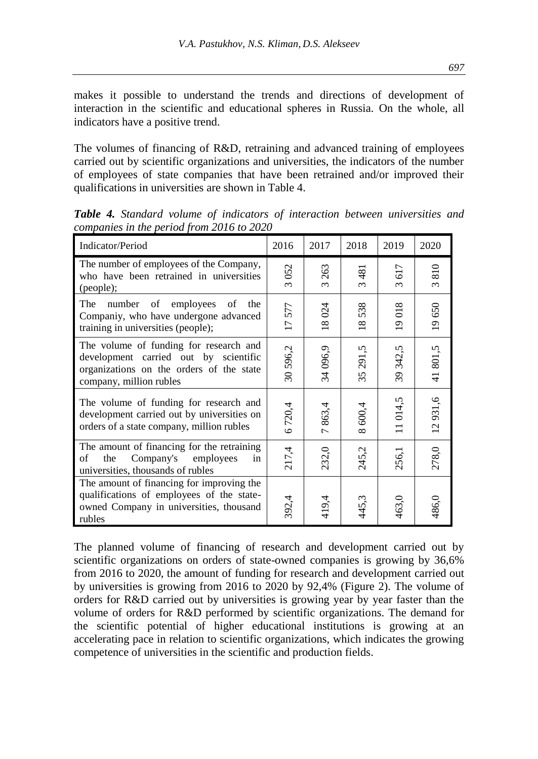makes it possible to understand the trends and directions of development of interaction in the scientific and educational spheres in Russia. On the whole, all indicators have a positive trend.

The volumes of financing of R&D, retraining and advanced training of employees carried out by scientific organizations and universities, the indicators of the number of employees of state companies that have been retrained and/or improved their qualifications in universities are shown in Table 4.

| Indicator/Period                                                                                                                                       | 2016                   | 2017                    | 2018                   | 2019            | 2020            |
|--------------------------------------------------------------------------------------------------------------------------------------------------------|------------------------|-------------------------|------------------------|-----------------|-----------------|
| The number of employees of the Company,<br>who have been retrained in universities<br>(people);                                                        | 052<br>$\infty$        | 263<br>$\infty$         | 481<br>$\infty$        | 617<br>$\infty$ | 810<br>$\infty$ |
| The<br>number<br>of<br>employees<br>οf<br>the<br>Companiy, who have undergone advanced<br>training in universities (people);                           | 577<br>$\overline{17}$ | 024<br>$\overline{18}$  | 538<br>$\overline{18}$ | 19018           | 19650           |
| The volume of funding for research and<br>development carried out by scientific<br>organizations on the orders of the state<br>company, million rubles | 30596,2                | 096,9<br>34             | 291,5<br>35            | 342,5<br>39     | 41801,5         |
| The volume of funding for research and<br>development carried out by universities on<br>orders of a state company, million rubles                      | 6720,4                 | 863,4<br>$\overline{r}$ | 600,4<br>$\infty$      | 11014,5         | 12931,6         |
| The amount of financing for the retraining<br>Company's employees<br>the<br>οf<br>in<br>universities, thousands of rubles                              | 217,4                  | 232,0                   | 245,2                  | 256,1           | 278,0           |
| The amount of financing for improving the<br>qualifications of employees of the state-<br>owned Company in universities, thousand<br>rubles            | 392,4                  | 419,4                   | 445,3                  | 463,0           | 486,0           |

*Table 4. Standard volume of indicators of interaction between universities and companies in the period from 2016 to 2020*

The planned volume of financing of research and development carried out by scientific organizations on orders of state-owned companies is growing by 36,6% from 2016 to 2020, the amount of funding for research and development carried out by universities is growing from 2016 to 2020 by 92,4% (Figure 2). The volume of orders for R&D carried out by universities is growing year by year faster than the volume of orders for R&D performed by scientific organizations. The demand for the scientific potential of higher educational institutions is growing at an accelerating pace in relation to scientific organizations, which indicates the growing competence of universities in the scientific and production fields.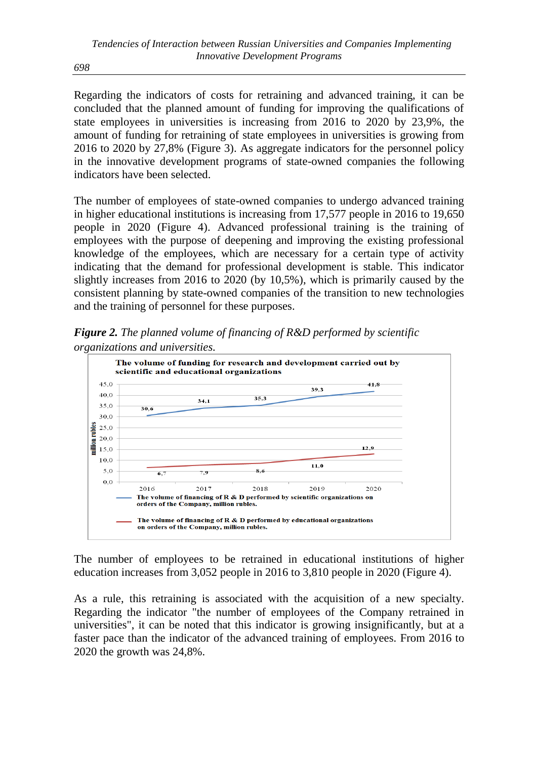*698*

Regarding the indicators of costs for retraining and advanced training, it can be concluded that the planned amount of funding for improving the qualifications of state employees in universities is increasing from 2016 to 2020 by 23,9%, the amount of funding for retraining of state employees in universities is growing from 2016 to 2020 by 27,8% (Figure 3). As aggregate indicators for the personnel policy in the innovative development programs of state-owned companies the following indicators have been selected.

The number of employees of state-owned companies to undergo advanced training in higher educational institutions is increasing from 17,577 people in 2016 to 19,650 people in 2020 (Figure 4). Advanced professional training is the training of employees with the purpose of deepening and improving the existing professional knowledge of the employees, which are necessary for a certain type of activity indicating that the demand for professional development is stable. This indicator slightly increases from 2016 to 2020 (by 10,5%), which is primarily caused by the consistent planning by state-owned companies of the transition to new technologies and the training of personnel for these purposes.

*Figure 2. The planned volume of financing of R&D performed by scientific organizations and universities.*



The number of employees to be retrained in educational institutions of higher education increases from 3,052 people in 2016 to 3,810 people in 2020 (Figure 4).

As a rule, this retraining is associated with the acquisition of a new specialty. Regarding the indicator "the number of employees of the Company retrained in universities", it can be noted that this indicator is growing insignificantly, but at a faster pace than the indicator of the advanced training of employees. From 2016 to 2020 the growth was 24,8%.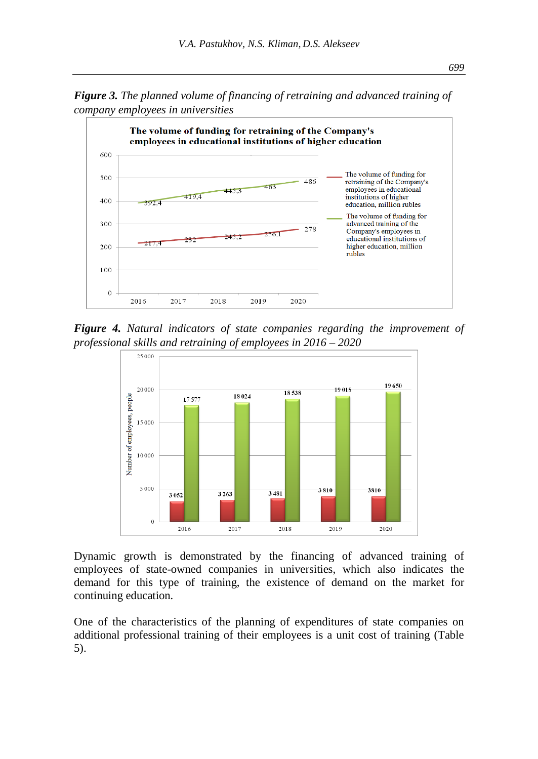*Figure 3. The planned volume of financing of retraining and advanced training of company employees in universities*



*Figure 4. Natural indicators of state companies regarding the improvement of professional skills and retraining of employees in 2016 – 2020*



Dynamic growth is demonstrated by the financing of advanced training of employees of state-owned companies in universities, which also indicates the demand for this type of training, the existence of demand on the market for continuing education.

One of the characteristics of the planning of expenditures of state companies on additional professional training of their employees is a unit cost of training (Table 5).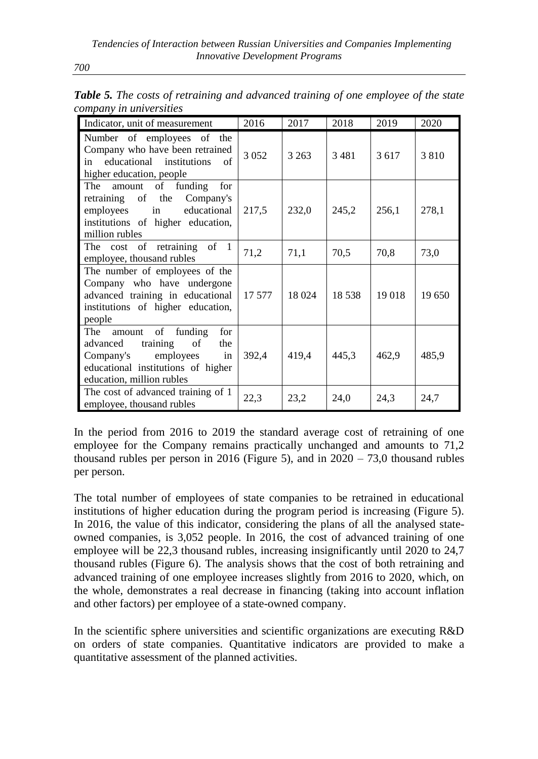| Indicator, unit of measurement                                                                                                                                    | 2016    | 2017    | 2018    | 2019    | 2020   |
|-------------------------------------------------------------------------------------------------------------------------------------------------------------------|---------|---------|---------|---------|--------|
| Number of employees of the<br>Company who have been retrained<br>educational institutions<br>of<br>in<br>higher education, people                                 | 3 0 5 2 | 3 2 6 3 | 3481    | 3 6 1 7 | 3810   |
| The<br>amount of funding for<br>retraining of the Company's<br>employees in educational<br>institutions of higher education,<br>million rubles                    | 217,5   | 232,0   | 245,2   | 256,1   | 278,1  |
| The cost of retraining of 1<br>employee, thousand rubles                                                                                                          | 71,2    | 71,1    | 70,5    | 70,8    | 73,0   |
| The number of employees of the<br>Company who have undergone<br>advanced training in educational<br>institutions of higher education,<br>people                   | 17 577  | 18 024  | 18 5 38 | 19 018  | 19 650 |
| The<br>amount of funding<br>for<br>advanced training of<br>the<br>in<br>employees<br>Company's<br>educational institutions of higher<br>education, million rubles | 392,4   | 419,4   | 445,3   | 462,9   | 485,9  |
| The cost of advanced training of 1<br>employee, thousand rubles                                                                                                   | 22,3    | 23,2    | 24,0    | 24,3    | 24,7   |

*Table 5. The costs of retraining and advanced training of one employee of the state company in universities*

In the period from 2016 to 2019 the standard average cost of retraining of one employee for the Company remains practically unchanged and amounts to 71,2 thousand rubles per person in 2016 (Figure 5), and in  $2020 - 73.0$  thousand rubles per person.

The total number of employees of state companies to be retrained in educational institutions of higher education during the program period is increasing (Figure 5). In 2016, the value of this indicator, considering the plans of all the analysed stateowned companies, is 3,052 people. In 2016, the cost of advanced training of one employee will be 22,3 thousand rubles, increasing insignificantly until 2020 to 24,7 thousand rubles (Figure 6). The analysis shows that the cost of both retraining and advanced training of one employee increases slightly from 2016 to 2020, which, on the whole, demonstrates a real decrease in financing (taking into account inflation and other factors) per employee of a state-owned company.

In the scientific sphere universities and scientific organizations are executing R&D on orders of state companies. Quantitative indicators are provided to make a quantitative assessment of the planned activities.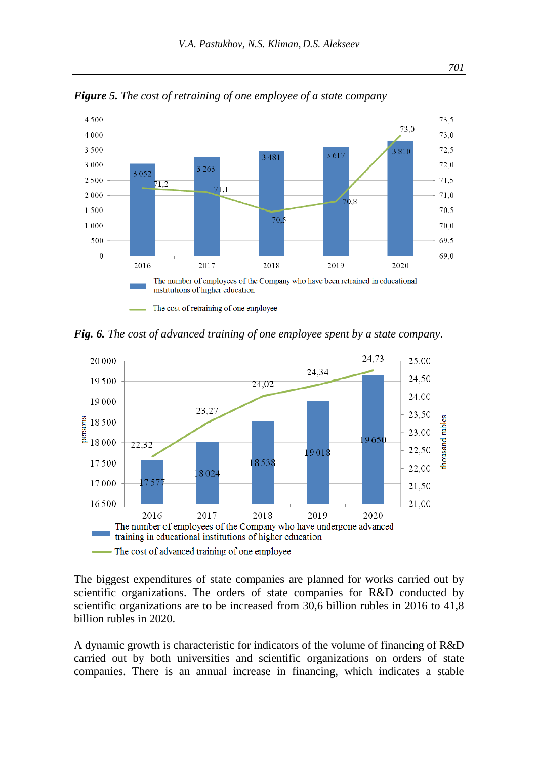

*Figure 5. The cost of retraining of one employee of a state company*

*Fig. 6. The cost of advanced training of one employee spent by a state company.*



The biggest expenditures of state companies are planned for works carried out by scientific organizations. The orders of state companies for R&D conducted by scientific organizations are to be increased from 30,6 billion rubles in 2016 to 41,8 billion rubles in 2020.

A dynamic growth is characteristic for indicators of the volume of financing of R&D carried out by both universities and scientific organizations on orders of state companies. There is an annual increase in financing, which indicates a stable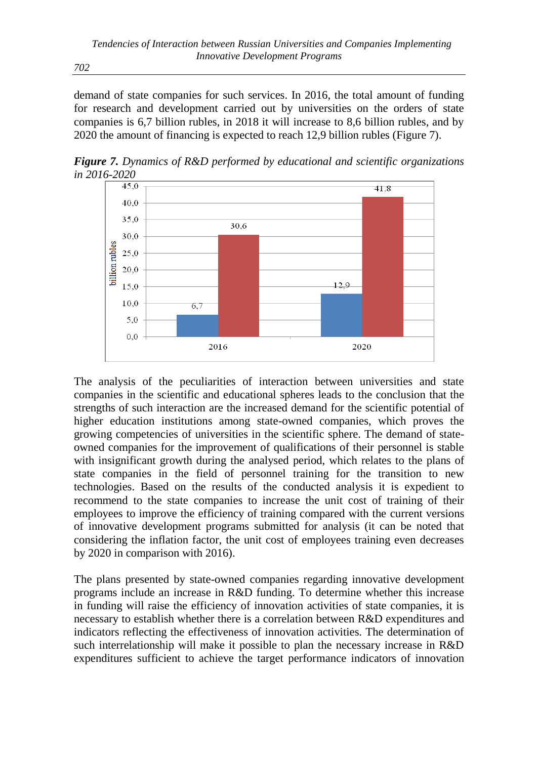demand of state companies for such services. In 2016, the total amount of funding for research and development carried out by universities on the orders of state companies is 6,7 billion rubles, in 2018 it will increase to 8,6 billion rubles, and by 2020 the amount of financing is expected to reach 12,9 billion rubles (Figure 7).

*Figure 7. Dynamics of R&D performed by educational and scientific organizations in 2016-2020*



The analysis of the peculiarities of interaction between universities and state companies in the scientific and educational spheres leads to the conclusion that the strengths of such interaction are the increased demand for the scientific potential of higher education institutions among state-owned companies, which proves the growing competencies of universities in the scientific sphere. The demand of stateowned companies for the improvement of qualifications of their personnel is stable with insignificant growth during the analysed period, which relates to the plans of state companies in the field of personnel training for the transition to new technologies. Based on the results of the conducted analysis it is expedient to recommend to the state companies to increase the unit cost of training of their employees to improve the efficiency of training compared with the current versions of innovative development programs submitted for analysis (it can be noted that considering the inflation factor, the unit cost of employees training even decreases by 2020 in comparison with 2016).

The plans presented by state-owned companies regarding innovative development programs include an increase in R&D funding. To determine whether this increase in funding will raise the efficiency of innovation activities of state companies, it is necessary to establish whether there is a correlation between R&D expenditures and indicators reflecting the effectiveness of innovation activities. The determination of such interrelationship will make it possible to plan the necessary increase in R&D expenditures sufficient to achieve the target performance indicators of innovation

*702*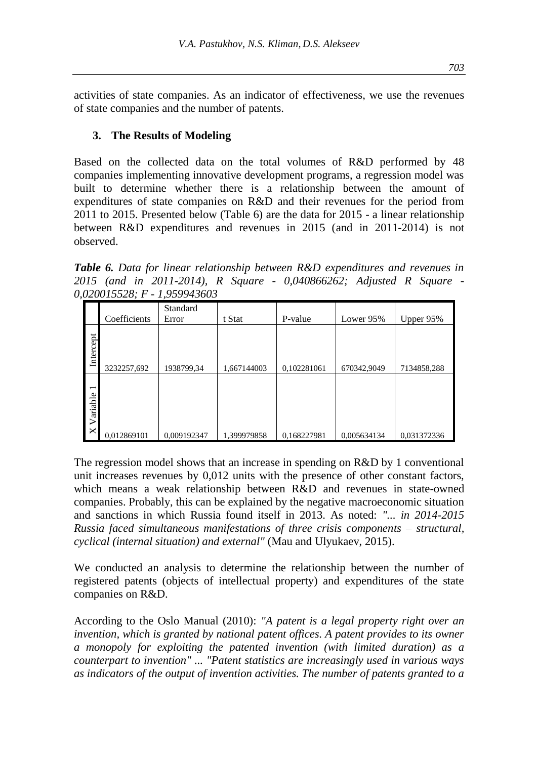activities of state companies. As an indicator of effectiveness, we use the revenues of state companies and the number of patents.

#### **3. The Results of Modeling**

Based on the collected data on the total volumes of R&D performed by 48 companies implementing innovative development programs, a regression model was built to determine whether there is a relationship between the amount of expenditures of state companies on R&D and their revenues for the period from 2011 to 2015. Presented below (Table 6) are the data for 2015 - a linear relationship between R&D expenditures and revenues in 2015 (and in 2011-2014) is not observed.

*Table 6. Data for linear relationship between R&D expenditures and revenues in 2015 (and in 2011-2014), R Square - 0,040866262; Adjusted R Square - 0,020015528; F - 1,959943603*

|                                                  | Coefficients | Standard<br>Error | t Stat      | P-value     | Lower 95%   | Upper $95\%$ |
|--------------------------------------------------|--------------|-------------------|-------------|-------------|-------------|--------------|
| Intercept                                        | 3232257,692  | 1938799,34        | 1,667144003 | 0,102281061 | 670342,9049 | 7134858,288  |
| $\overline{\phantom{0}}$<br>Variable<br>$\times$ | 0,012869101  | 0,009192347       | 1,399979858 | 0,168227981 | 0,005634134 | 0.031372336  |

The regression model shows that an increase in spending on R&D by 1 conventional unit increases revenues by 0,012 units with the presence of other constant factors, which means a weak relationship between R&D and revenues in state-owned companies. Probably, this can be explained by the negative macroeconomic situation and sanctions in which Russia found itself in 2013. As noted: *"... in 2014-2015 Russia faced simultaneous manifestations of three crisis components – structural, cyclical (internal situation) and external"* (Mau and Ulyukaev, 2015).

We conducted an analysis to determine the relationship between the number of registered patents (objects of intellectual property) and expenditures of the state companies on R&D.

According to the Oslo Manual (2010): *"A patent is a legal property right over an invention, which is granted by national patent offices. A patent provides to its owner a monopoly for exploiting the patented invention (with limited duration) as a counterpart to invention" ... "Patent statistics are increasingly used in various ways as indicators of the output of invention activities. The number of patents granted to a*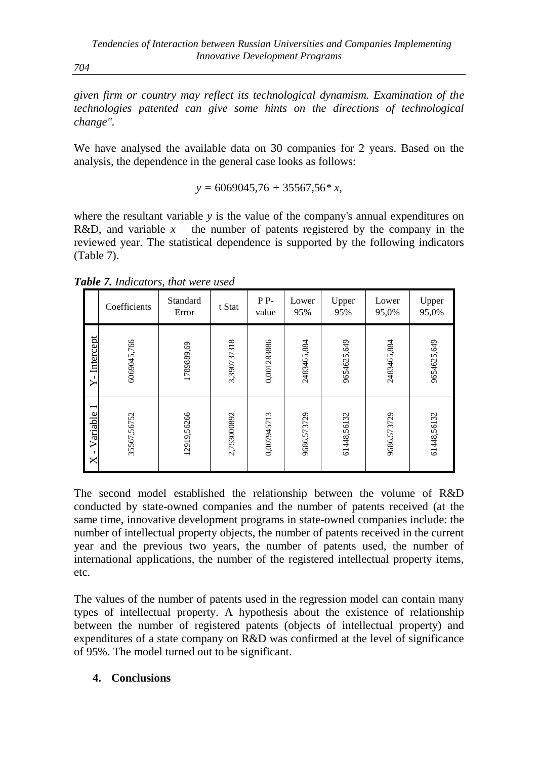*704*

*given firm or country may reflect its technological dynamism. Examination of the technologies patented can give some hints on the directions of technological change".*

We have analysed the available data on 30 companies for 2 years. Based on the analysis, the dependence in the general case looks as follows:

*y =* 6069045,76 *+* 35567,56*\* x,*

where the resultant variable *y* is the value of the company's annual expenditures on R&D, and variable  $x -$  the number of patents registered by the company in the reviewed year. The statistical dependence is supported by the following indicators (Table 7).

|                                                           | Coefficients | Standard<br>Error | t Stat      | PP-<br>value | Lower<br>95% | Upper<br>95% | Lower<br>95,0% | Upper<br>95,0% |
|-----------------------------------------------------------|--------------|-------------------|-------------|--------------|--------------|--------------|----------------|----------------|
| Intercept<br>ኦ΄                                           | 6069045,766  | 1789889,69        | 3,390737318 | 0,001283886  | 2483465,884  | 9654625,649  | 2483465,884    | 9654625,649    |
| $\overline{\phantom{0}}$<br>Variable<br>$\mathbf{I}$<br>× | 35567,56752  | 12919,56266       | 2,753000892 | 0,007945713  | 9686,573729  | 61448,56132  | 9686,573729    | 61448,56132    |

*Table 7. Indicators, that were used*

The second model established the relationship between the volume of R&D conducted by state-owned companies and the number of patents received (at the same time, innovative development programs in state-owned companies include: the number of intellectual property objects, the number of patents received in the current year and the previous two years, the number of patents used, the number of international applications, the number of the registered intellectual property items, etc.

The values of the number of patents used in the regression model can contain many types of intellectual property. A hypothesis about the existence of relationship between the number of registered patents (objects of intellectual property) and expenditures of a state company on R&D was confirmed at the level of significance of 95%. The model turned out to be significant.

# **4. Conclusions**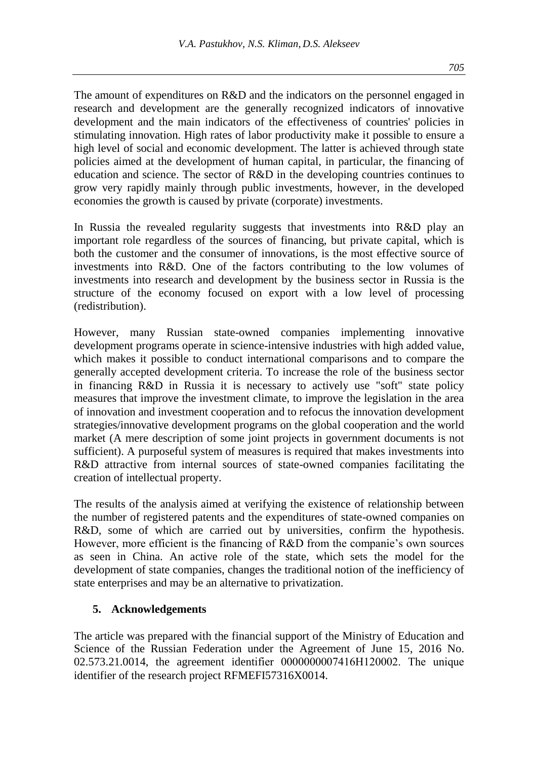The amount of expenditures on R&D and the indicators on the personnel engaged in research and development are the generally recognized indicators of innovative development and the main indicators of the effectiveness of countries' policies in stimulating innovation. High rates of labor productivity make it possible to ensure a high level of social and economic development. The latter is achieved through state policies aimed at the development of human capital, in particular, the financing of education and science. The sector of R&D in the developing countries continues to grow very rapidly mainly through public investments, however, in the developed economies the growth is caused by private (corporate) investments.

In Russia the revealed regularity suggests that investments into R&D play an important role regardless of the sources of financing, but private capital, which is both the customer and the consumer of innovations, is the most effective source of investments into R&D. One of the factors contributing to the low volumes of investments into research and development by the business sector in Russia is the structure of the economy focused on export with a low level of processing (redistribution).

However, many Russian state-owned companies implementing innovative development programs operate in science-intensive industries with high added value, which makes it possible to conduct international comparisons and to compare the generally accepted development criteria. To increase the role of the business sector in financing R&D in Russia it is necessary to actively use "soft" state policy measures that improve the investment climate, to improve the legislation in the area of innovation and investment cooperation and to refocus the innovation development strategies/innovative development programs on the global cooperation and the world market (A mere description of some joint projects in government documents is not sufficient). A purposeful system of measures is required that makes investments into R&D attractive from internal sources of state-owned companies facilitating the creation of intellectual property.

The results of the analysis aimed at verifying the existence of relationship between the number of registered patents and the expenditures of state-owned companies on R&D, some of which are carried out by universities, confirm the hypothesis. However, more efficient is the financing of R&D from the companie's own sources as seen in China. An active role of the state, which sets the model for the development of state companies, changes the traditional notion of the inefficiency of state enterprises and may be an alternative to privatization.

## **5. Acknowledgements**

The article was prepared with the financial support of the Ministry of Education and Science of the Russian Federation under the Agreement of June 15, 2016 No. 02.573.21.0014, the agreement identifier 0000000007416Н120002. The unique identifier of the research project RFMEFI57316X0014.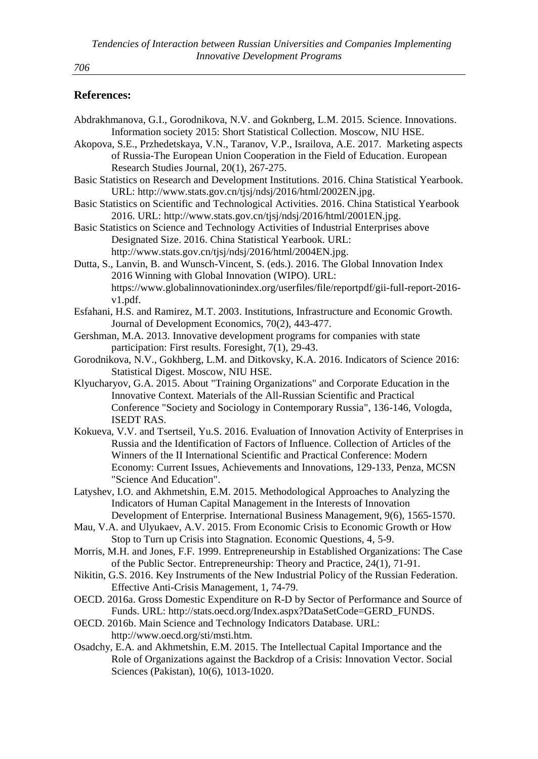## **References:**

| Abdrakhmanova, G.I., Gorodnikova, N.V. and Goknberg, L.M. 2015. Science. Innovations.                                                                                                |
|--------------------------------------------------------------------------------------------------------------------------------------------------------------------------------------|
| Information society 2015: Short Statistical Collection. Moscow, NIU HSE.                                                                                                             |
| Akopova, S.E., Przhedetskaya, V.N., Taranov, V.P., Israilova, A.E. 2017. Marketing aspects                                                                                           |
| of Russia-The European Union Cooperation in the Field of Education. European                                                                                                         |
| Research Studies Journal, 20(1), 267-275.                                                                                                                                            |
| Basic Statistics on Research and Development Institutions. 2016. China Statistical Yearbook.                                                                                         |
| URL: http://www.stats.gov.cn/tjsj/ndsj/2016/html/2002EN.jpg.                                                                                                                         |
| Basic Statistics on Scientific and Technological Activities. 2016. China Statistical Yearbook                                                                                        |
| 2016. URL: http://www.stats.gov.cn/tjsj/ndsj/2016/html/2001EN.jpg.                                                                                                                   |
| Basic Statistics on Science and Technology Activities of Industrial Enterprises above                                                                                                |
| Designated Size. 2016. China Statistical Yearbook. URL:                                                                                                                              |
| http://www.stats.gov.cn/tjsj/ndsj/2016/html/2004EN.jpg.                                                                                                                              |
| Dutta, S., Lanvin, B. and Wunsch-Vincent, S. (eds.). 2016. The Global Innovation Index                                                                                               |
| 2016 Winning with Global Innovation (WIPO). URL:                                                                                                                                     |
| https://www.globalinnovationindex.org/userfiles/file/reportpdf/gii-full-report-2016-<br>v1.pdf.                                                                                      |
| Esfahani, H.S. and Ramirez, M.T. 2003. Institutions, Infrastructure and Economic Growth.                                                                                             |
| Journal of Development Economics, 70(2), 443-477.                                                                                                                                    |
| Gershman, M.A. 2013. Innovative development programs for companies with state                                                                                                        |
| participation: First results. Foresight, 7(1), 29-43.                                                                                                                                |
| Gorodnikova, N.V., Gokhberg, L.M. and Ditkovsky, K.A. 2016. Indicators of Science 2016:                                                                                              |
| Statistical Digest. Moscow, NIU HSE.                                                                                                                                                 |
| Klyucharyov, G.A. 2015. About "Training Organizations" and Corporate Education in the                                                                                                |
| Innovative Context. Materials of the All-Russian Scientific and Practical                                                                                                            |
| Conference "Society and Sociology in Contemporary Russia", 136-146, Vologda,                                                                                                         |
| <b>ISEDT RAS.</b>                                                                                                                                                                    |
| Kokueva, V.V. and Tsertseil, Yu.S. 2016. Evaluation of Innovation Activity of Enterprises in<br>Russia and the Identification of Factors of Influence. Collection of Articles of the |
| Winners of the II International Scientific and Practical Conference: Modern                                                                                                          |
| Economy: Current Issues, Achievements and Innovations, 129-133, Penza, MCSN                                                                                                          |
| "Science And Education".                                                                                                                                                             |
| Latyshev, I.O. and Akhmetshin, E.M. 2015. Methodological Approaches to Analyzing the                                                                                                 |
| Indicators of Human Capital Management in the Interests of Innovation                                                                                                                |
| Development of Enterprise. International Business Management, 9(6), 1565-1570.                                                                                                       |
| Mau, V.A. and Ulyukaev, A.V. 2015. From Economic Crisis to Economic Growth or How                                                                                                    |
| Stop to Turn up Crisis into Stagnation. Economic Questions, 4, 5-9.                                                                                                                  |
| Morris, M.H. and Jones, F.F. 1999. Entrepreneurship in Established Organizations: The Case                                                                                           |
| of the Public Sector. Entrepreneurship: Theory and Practice, 24(1), 71-91.                                                                                                           |
| Nikitin, G.S. 2016. Key Instruments of the New Industrial Policy of the Russian Federation.                                                                                          |
| Effective Anti-Crisis Management, 1, 74-79.                                                                                                                                          |
| OECD. 2016a. Gross Domestic Expenditure on R-D by Sector of Performance and Source of                                                                                                |
| Funds. URL: http://stats.oecd.org/Index.aspx?DataSetCode=GERD_FUNDS.                                                                                                                 |
| OECD. 2016b. Main Science and Technology Indicators Database. URL:                                                                                                                   |
| http://www.oecd.org/sti/msti.htm.                                                                                                                                                    |
| Osadchy, E.A. and Akhmetshin, E.M. 2015. The Intellectual Capital Importance and the                                                                                                 |
| Role of Organizations against the Backdrop of a Crisis: Innovation Vector. Social                                                                                                    |
| Sciences (Pakistan), 10(6), 1013-1020.                                                                                                                                               |